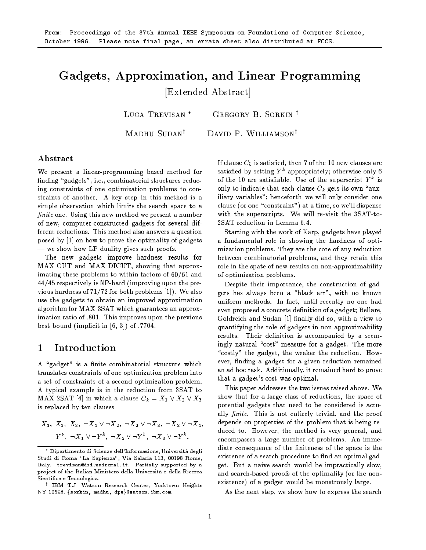# Gadgets, Approximation, and Linear Programming

[Extended Abstract]

LUCA TREVISAN<sup>\*</sup> GREGORY B. SORKIN<sup>†</sup>

MADHU SUDAN<sup>†</sup> DAVID P. WILLIAMSON<sup>†</sup>

### Abstract

We present a linear-programming based method for finding "gadgets", i.e., combinatorial structures reducing constraints of one optimization problems to constraints of another. A key step in this method is a simple observation which limits the search space to a finite one. Using this new method we present a number of new, computer-constructed gadgets for several different reductions. This method also answers a question posed by [1] on how to prove the optimality of gadgets - we show how LP duality gives such proofs.

The new gadgets improve hardness results for MAX CUT and MAX DICUT, showing that approximating these problems to within factors of  $60/61$  and  $44/45$  respectively is NP-hard (improving upon the previous hardness of  $71/72$  for both problems [1]). We also use the gadgets to obtain an improved approximation algorithm for MAX 3SAT which guarantees an approximation ratio of .801. This improves upon the previous best bound (implicit in  $[6, 3]$ ) of .7704.

A "gadget" is a finite combinatorial structure which translates constraints of one optimization problem into a set of constraints of a second optimization problem. A typical example is in the reduction from 3SAT to MAX 2SAT [4] in which a clause  $C_k = X_1 \vee X_2 \vee X_3$ is replaced by ten clauses

$$
X_1, X_2, X_3, \neg X_1 \lor \neg X_2, \neg X_2 \lor \neg X_3, \neg X_3 \lor \neg X_1,
$$
  

$$
Y^k, \neg X_1 \lor \neg Y^k, \neg X_2 \lor \neg Y^k, \neg X_3 \lor \neg Y^k.
$$

If clause  $C_k$  is satisfied, then 7 of the 10 new clauses are satished by setting Y appropriately; otherwise only 6 of the 10 are satisfiable. Use of the superscript  $Y^*$  is only to indicate that each clause  $C_k$  gets its own "auxiliary variables"; henceforth we will only consider one clause (or one "constraint") at a time, so we'll dispense with the superscripts. We will re-visit the 3SAT-to-2SAT reduction in Lemma 6.4.

Starting with the work of Karp, gadgets have played a fundamental role in showing the hardness of optimization problems. They are the core of any reduction between combinatorial problems, and they retain this role in the spate of new results on non-approximability of optimization problems.

Despite their importance, the construction of gadgets has always been a \black art", with no known uniform methods. In fact, until recently no one had even proposed a concrete definition of a gadget; Bellare, Goldreich and Sudan [1] finally did so, with a view to quantifying the role of gadgets in non-approximability results. Their definition is accompanied by a seemingly natural "cost" measure for a gadget. The more "costly" the gadget, the weaker the reduction. However, finding a gadget for a given reduction remained an ad hoc task. Additionally, it remained hard to prove that a gadget's cost was optimal.

This paper addresses the two issues raised above. We show that for a large class of reductions, the space of potential gadgets that need to be considered is actually  $finite$ . This is not entirely trivial, and the proof depends on properties of the problem that is being reduced to. However, the method is very general, and encompasses a large number of problems. An immediate consequence of the finiteness of the space is the existence of a search procedure to find an optimal gadget. But a naive search would be impractically slow, and search-based proofs of the optimality (or the nonexistence) of a gadget would be monstrously large.

As the next step, we show how to express the search

Dipartimento di Scienze dell'Informazione, Universita degli Studi di Roma "La Sapienza", Via Salaria 113, 00198 Rome, Italy. trevisan@dsi.uniroma1.it. Partially supported by a pro ject of the Italian Ministero della Universita e della Ricerca Sientica e Tecnologica.

<sup>y</sup> IBM T.J. Watson Research Center, Yorktown Heights NY 10598. {sorkin, madhu, dpw}@watson.ibm.com.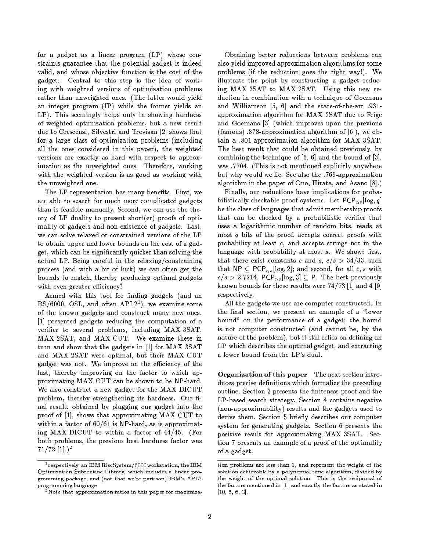for a gadget as a linear program (LP) whose constraints guarantee that the potential gadget is indeed valid, and whose objective function is the cost of the gadget. Central to this step is the idea of working with weighted versions of optimization problems rather than unweighted ones. (The latter would yield an integer program (IP) while the former yields an LP). This seemingly helps only in showing hardness of weighted optimization problems, but a new result due to Crescenzi, Silvestri and Trevisan [2] shows that for a large class of optimization problems (including all the ones considered in this paper), the weighted versions are exactly as hard with respect to approximation as the unweighted ones. Therefore, working with the weighted version is as good as working with the unweighted one.

The LP representation has many benefits. First, we are able to search for much more complicated gadgets than is feasible manually. Second, we can use the theory of LP duality to present short(er) proofs of optimality of gadgets and non-existence of gadgets. Last, we can solve relaxed or constrained versions of the LP to obtain upper and lower bounds on the cost of a gadget, which can be signicantly quicker than solving the actual LP. Being careful in the relaxing/constraining process (and with a bit of luck) we can often get the bounds to match, thereby producing optimal gadgets with even greater efficiency!

Armed with this tool for finding gadgets (and an  $R_{\rm N}$ ,  $0000$ ,  $0.5L$ , and often  $R_{\rm N}$  and  $R_{\rm N}$ , we examine some of the known gadgets and construct many new ones. [1] presented gadgets reducing the computation of a verifier to several problems, including MAX 3SAT, MAX 2SAT, and MAX CUT. We examine these in turn and show that the gadgets in [1] for MAX 3SAT and MAX 2SAT were optimal, but their MAX CUT gadget was not. We improve on the efficiency of the last, thereby improving on the factor to which approximating MAX CUT can be shown to be NP-hard. We also construct a new gadget for the MAX DICUT problem, thereby strengthening its hardness. Our final result, obtained by plugging our gadget into the proof of [1], shows that approximating MAX CUT to within a factor of  $60/61$  is NP-hard, as is approximating MAX DICUT to within a factor of  $44/45$ . (For both problems, the previous best hardness factor was  $71/72$  [1].)<sup>2</sup>

Obtaining better reductions between problems can also yield improved approximation algorithms for some problems (if the reduction goes the right way!). We illustrate the point by constructing a gadget reducing MAX 3SAT to MAX 2SAT. Using this new reduction in combination with a technique of Goemans and Williamson [5, 6] and the state-of-the-art .931approximation algorithm for MAX 2SAT due to Feige and Goemans [3] (which improves upon the previous (famous)  $.878$ -approximation algorithm of [6]), we obtain a :801-approximation algorithm for MAX 3SAT. The best result that could be obtained previously, by combining the technique of [5, 6] and the bound of [3], was :7704. (This is not mentioned explicitly anywhere but why would we lie. See also the :769-approximation algorithm in the paper of Ono, Hirata, and Asano [8].)

Finally, our reductions have implications for probabilistically checkable proof systems. Let  $PCP_{c,s}[\log, q]$ be the class of languages that admit membership proofs that can be checked by a probabilistic verifier that uses a logarithmic number of random bits, reads at most  $q$  bits of the proof, accepts correct proofs with probability at least c, and accepts strings not in the language with probability at most  $s$ . We show: first, that there exist constants c and s,  $c/s > 34/33$ , such that  $NP \subset PCP_{c,s}[\log, 2]$ ; and second, for all c, s with  $c/s > 2.7214$ , PCP<sub>c,s</sub>[log, 3]  $\subseteq$  P. The best previously known bounds for these results were 74/73 [1] and 4 [9] respectively.

All the gadgets we use are computer constructed. In the final section, we present an example of a "lower bound" on the performance of a gadget; the bound is not computer constructed (and cannot be, by the nature of the problem), but it still relies on defining an LP which describes the optimal gadget, and extracting a lower bound from the LP's dual.

Organization of this paper The next section introduces precise definitions which formalize the preceding outline. Section 3 presents the finiteness proof and the LP-based search strategy. Section 4 contains negative (non-approximability) results and the gadgets used to derive them. Section 5 briefly describes our computer system for generating gadgets. Section 6 presents the positive result for approximating MAX 3SAT. Section 7 presents an example of a proof of the optimality of a gadget.

<sup>1</sup> respectively, an IBM RiscSystem/6000 workstation, the IBM Optimization Subroutine Library, which includes a linear programming package, and (not that we're partisan) IBM's APL2 programming language

<sup>2</sup>Note that approximation ratios in this paper for maximiza-

tion problems are less than 1, and represent the weight of the solution achievable by a polynomial time algorithm, divided by the weight of the optimal solution. This is the reciprocal of the factors mentioned in [1] and exactly the factors as stated in [10, 5, 6, 3].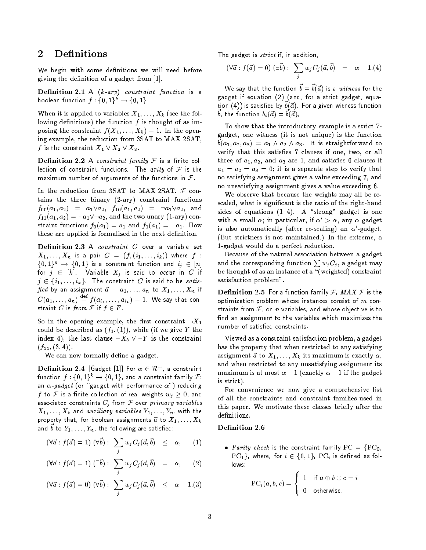#### **Definitions**  $\overline{2}$

We begin with some definitions we will need before giving the denition of a gadget from [1].

Definition 2.1 A  $(k$ -ary) constraint function is a boolean function  $f: \{0,1\}^k \rightarrow \{0,1\}.$ 

When it is applied to variables  $X_1, \ldots, X_k$  (see the following definitions) the function  $f$  is thought of as imposing the constraint  $f(X_1, \ldots, X_k) = 1$ . In the opening example, the reduction from 3SAT to MAX 2SAT, f is the constraint  $X_1 \vee X_2 \vee X_3$ .

**Definition 2.2** A constraint family  $F$  is a finite collection of constraint functions. The arity of  $F$  is the maximum number of arguments of the functions in  $\mathcal F$ .

In the reduction from 3SAT to MAX 2SAT,  $\mathcal F$  contains the three binary (2-ary) constraint functions  $f_{00}(a_1, a_2) = a_1 \vee a_2, f_{10}(a_1, a_2) = \neg a_1 \vee a_2, \text{ and}$  $f_{11}(a_1,a_2) = \neg a_1 \vee \neg a_2$ , and the two unary (1-ary) constraint functions  $f_0(a_1) = a_1$  and  $f_1(a_1) = \neg a_1$ . How these are applied is formalized in the next definition.

**Definition 2.3** A *constraint*  $C$  over a variable set  $X_1, \ldots, X_n$  is a pair  $C = (f, (i_1, \ldots, i_k))$  where  $f$  :  $\{0,1\}^k \rightarrow \{0,1\}$  is a constraint function and  $i_j \in [n]$ for  $j \in [k]$ . Variable  $X_j$  is said to occur in C if  $j \in \{i_1, \ldots, i_k\}$  The constraint C is said to be satis- $\mathit{fied}$  by an assignment  $\vec{a} = a_1, \ldots, a_n$  to  $X_1, \ldots, X_n$  if  $C(a_1,\ldots,a_n)\ \equiv\ f(a_{i_1},\ldots,a_{i_k})\ =\ 1.$  We say that constraint C is from F if  $f \in F$ .

So in the opening example, the first constraint  $\neg X_1$ could be described as  $(f_1, (1))$ , while (if we give Y the index 4), the last clause  $\neg X_3 \vee \neg Y$  is the constraint  $(f_{11}, (3, 4)).$ 

We can now formally define a gadget.

**Demition 2.4** [Gadget [1]] For  $\alpha \in \mathcal{R}^+$ , a constraint function  $f : \{0,1\}^k \rightarrow \{0,1\}$ , and a constraint family  ${\mathcal F}$ : an  $\alpha$ -gadget (or "gadget with performance  $\alpha$ ") reducing  $f$  to  ${\mathcal F}$  is a finite collection of real weights  $w_j\,\geq 0$ , and associated constraints  $C_j$  from  $\mathcal F$  over primary variables  $X_1, \ldots, X_k$  and auxiliary variables  $Y_1, \ldots, Y_n$ , with the property that, for boolean assignments  $\vec{a}$  to  $X_1, \ldots, X_k$ and  $v$  to  $I_1,\ldots,I_n$ , the following are satisfied.

$$
(\forall \vec{a} : f(\vec{a}) = 1) (\forall \vec{b}) : \sum_{j} w_j C_j(\vec{a}, \vec{b}) \leq \alpha, \qquad (1)
$$

$$
(\forall \vec{a} : f(\vec{a}) = 1) (\exists \vec{b}) : \sum_j w_j C_j(\vec{a}, \vec{b}) = \alpha, \quad (2)
$$

$$
(\forall \vec{a} : f(\vec{a}) = 0) (\forall \vec{b}) : \sum_{j} w_j C_j(\vec{a}, \vec{b}) \leq \alpha - 1.3)
$$

The gadget is *strict* if, in addition,

$$
(\forall \vec{a} : f(\vec{a}) = 0) \; (\exists \vec{b}) : \; \sum_j w_j C_j(\vec{a}, \vec{b}) \;\; = \;\; \alpha - 1. (4)
$$

We say that the function  $v = v(u)$  is a withess for the gadget if equation (2) (and, for a strict gadget, equa $t$  and  $\left( \frac{4}{7}, \frac{1}{7}, \frac{5}{7}\right)$  is satisfied by  $v(u)$ . For a given withess function  $v_i$ , the function  $v_i(u) = v(u)_i$ .

To show that the introductory example is a strict 7 gadget, one witness (it is not unique) is the function  $v_1, u_2, u_3$  =  $u_1 \wedge u_2 \wedge u_3$ . It is straightforward to verify that this satisfies 7 clauses if one, two, or all three of  $a_1, a_2$ , and  $a_3$  are 1, and satisfies 6 clauses if  $a_1 = a_2 = a_3 = 0$ ; it is a separate step to verify that no satisfying assignment gives a value exceeding 7, and no unsatisfying assignment gives a value exceeding 6.

We observe that because the weights may all be rescaled, what is signicant is the ratio of the right-hand sides of equations  $(1-4)$ . A "strong" gadget is one with a small  $\alpha$ ; in particular, if  $\alpha' > \alpha$ , any  $\alpha$ -gadget is also automatically (after re-scaling) an  $\alpha$ -gadget. (But strictness is not maintained.) In the extreme, a 1-gadget would do a perfect reduction.

Because of the natural association between a gadget and the corresponding function  $\sum w_i C_i$ , a gadget may be thought of as an instance of a \(weighted) constraint satisfaction problem".

**Definition 2.5** For a function family F, MAX F is the optimization problem whose instances consist of  $m$  constraints from  $F$ , on  $n$  variables, and whose objective is to find an assignment to the variables which maximizes the number of satisfied constraints.

Viewed as a constraint satisfaction problem, a gadget has the property that when restricted to any satisfying assignment  $\vec{a}$  to  $X_1, \ldots, X_k$  its maximum is exactly  $\alpha$ , and when restricted to any unsatisfying assignment its maximum is at most  $\alpha - 1$  (exactly  $\alpha - 1$  if the gadget is strict).

For convenience we now give a comprehensive list of all the constraints and constraint families used in this paper. We motivate these classes briefly after the definitions.

• Parity check is the constraint family  $PC = \{PC_0,$  $PC<sub>1</sub>$ , where, for  $i \in \{0, 1\}$ ,  $PC<sub>i</sub>$  is defined as fol-

$$
\mathrm{PC}_i(a,b,c) = \left\{ \begin{array}{cl} 1 & \text{if } a \oplus b \oplus c = i \\ 0 & \text{otherwise.} \end{array} \right.
$$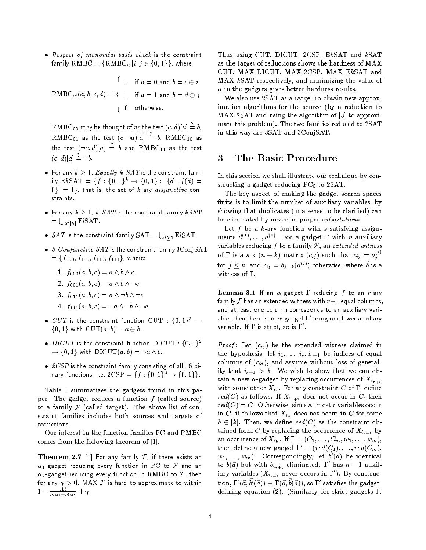$\bullet$  Respect of monomial basis check is the constraint family  $\text{RMBC} = \{ \text{RMBC}_{ij} | i, j \in \{0, 1\} \}$ , where

$$
\text{RMBC}_{ij}(a, b, c, d) = \left\{ \begin{array}{ll} 1 & \text{if } a = 0 \text{ and } b = c \oplus i \\ 1 & \text{if } a = 1 \text{ and } b = d \oplus j \\ 0 & \text{otherwise.} \end{array} \right.
$$

 $\mathrm{RMBC}_{00}$  may be thought of as the test  $(c,d)|a|=b,$  $\mathrm{RMBC}_{01}$  as the test  $(c, \neg d)|a| \, \doteq \, b$ ,  $\mathrm{RMBC}_{10}$  as the test  $(\neg c, d)|a| \ = \ b$  and  $\mathrm{RMBC}_{11}$  as the test  $(c, d)|a| = \neg b$ .

- $\bullet$  For any  $k > 1$ , Exactly-k-SAT is the constraint family  $EkSAT = {f : {0,1}<sup>k</sup> \rightarrow {0,1} : |{d : f(d) =}$  $0\}| = 1\}$ , that is, the set of k-ary *disjunctive* constraints.
- $\bullet\,$  For any  $k\geq 1,\, k\,$  -SAT is the constraint family  $k\,\mathrm{SAT}$  $=\bigcup_{l\in[k]}$  ElSAT.
- $\bullet$   $\,SA\,T$  is the constraint family  $\mathrm{SAT}=\bigcup_{l\geq 1}\mathrm{E} l\mathrm{SAT}$
- $\bullet$  3-Conjunctive SAT is the constraint family 3ConjSAT  $=\{f_{000}, f_{100}, f_{110}, f_{111}\}$ , where:
	- 1.  $f_{000}(a, b, c) = a \wedge b \wedge c$ .
	- 2.  $f_{001}(a, b, c) = a \wedge b \wedge \neg c$
	- 3.  $f_{011}(a, b, c) = a \wedge \neg b \wedge \neg c$
	- 4.  $f_{111}(a, b, c) = \neg a \land \neg b \land \neg c$
- $\bullet$   $CUT$  is the constraint function  $\mathrm{CUT}\,:\,\{0,1\}^2\,\rightarrow\,1$  $\{0,1\}$  with  $\mathrm{CUT}(a,b)=a\oplus b$ .
- $\bullet$  DICUT is the constraint function DICUT :  $\{0,1\}^2$  $\rightarrow \{0, 1\}$  with  $\mathrm{DICUT}(a, b) = \neg\, a \wedge b$ .
- $\bullet$  2CSP is the constraint family consisting of all 16 binary functions, i.e.  $2CSP = \{f : \{0, 1\}^2 \to \{0, 1\}\}.$

Table 1 summarizes the gadgets found in this paper. The gadget reduces a function  $f$  (called source) to a family  $F$  (called target). The above list of constraint families includes both sources and targets of reductions.

Our interest in the function families PC and RMBC comes from the following theorem of [1].

**Theorem 2.7** [1] For any family  $F$ , if there exists an  $\alpha_1$ -gadget reducing every function in PC to  ${\mathcal F}$  and an  $\alpha_2$ -gadget reducing every function in RMBC to  $\mathcal F$ , then for any <sup>&</sup>gt; 0, MAX <sup>F</sup> is hard to approximate to within  $1 - \frac{1}{6\alpha_1+4\alpha_2} + \gamma$ 

Thus using CUT, DICUT, 2CSP, EkSAT and kSAT as the target of reductions shows the hardness of MAX CUT, MAX DICUT, MAX 2CSP, MAX EkSAT and MAX kSAT respectively, and minimizing the value of  $\alpha$  in the gadgets gives better hardness results.

We also use 2SAT as a target to obtain new approximation algorithms for the source (by a reduction to MAX 2SAT and using the algorithm of [3] to approximate this problem). The two families reduced to 2SAT in this way are 3SAT and 3ConjSAT.

### 3 The Basic Procedure

In this section we shall illustrate our technique by constructing a gadget reducing  $PC_0$  to 2SAT.

The key aspect of making the gadget search spaces finite is to limit the number of auxiliary variables, by showing that duplicates (in a sense to be clarified) can be eliminated by means of proper substitutions.

Let  $f$  be a  $k$ -ary function with  $s$  satisfying assignments  $a^{(-)}$ , ...,  $a^{(-)}$ . For a gadget I with n auxiliary variables reducing f to a family  $F$ , an extended witness of I' is a  $s \times (n + k)$  matrix  $(c_{ii})$  such that  $c_{ii} = a_i$ <sup>1</sup> <sup>j</sup> for  $j \leq k$ , and  $c_{ij} = o_{j-k}(a^{i+j})$  otherwise, where  $o$  is a witness of  $\Gamma$ .

Lemma 3.1 If an  $\alpha$ -gadget  $\Gamma$  reducing  $f$  to an  $r$ -ary family  ${\mathcal F}$  has an extended witness with  $r{+}1$  equal columns, and at least one column corresponds to an auxiliary variable, then there is an  $\alpha$ -gadget  $1^-$  using one fewer auxiliary variable. If  $\bf I'$  is strict, so is  $\bf I'$  .

*Proof*: Let  $(c_{ij})$  be the extended witness claimed in the hypothesis, let  $i_1, \ldots, i_r, i_{r+1}$  be indices of equal columns of  $(c_{ij})$ , and assume without loss of generality that  $i_{r+1} > k$ . We wish to show that we can obtain a new  $\alpha$ -gadget by replacing occurrences of  $X_{i_{r+1}}$  $\ldots$  . For any  $\ldots$  , and  $\ldots$  any constraint  $\sigma$  of  $\sigma$ , and  $\sigma$  $red(C)$  as follows. If  $X_{i_{r+1}}$  does not occur in C, then  $red(C) = C$ . Otherwise, since at most r variables occur in C, it follows that  $X_{i_h}$  does not occur in C for some  $h \in [k]$ . Then, we define  $red(C)$  as the constraint obtained from C by replacing the occurrence of  $X_{i_{r+1}}$  by an occurrence of  $X_{i_h}$ . If  $\Gamma = (C_1, \ldots, C_m, w_1, \ldots, w_m)$ , then define a new gadget  $\Gamma = (rea(C_1), \ldots,rea(C_m))$  $w_1, \ldots, w_m$ ). Correspondingly, let  $v(a)$  be identical to  $b(a)$  but with  $b_{i_{r+1}}$  eliminated. I has  $n-1$  auxiliary variables ( $X_{i_{r+1}}$  never occurs in  $\Gamma$  ). By construction,  $\Gamma(a, b'(a)) \equiv \Gamma(a, b(a))$ , so  $\Gamma$  satisfies the gadgetdefining equation (2). (Similarly, for strict gadgets  $\Gamma$ ,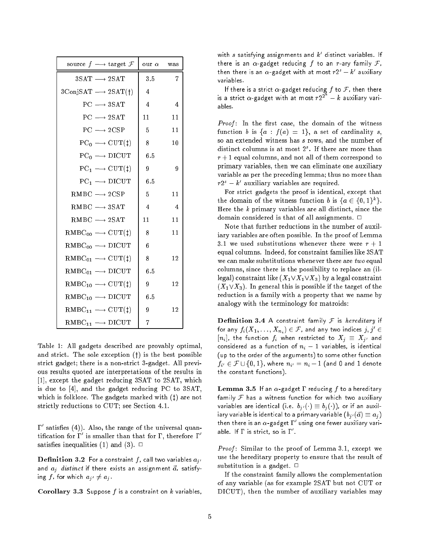| source $f \longrightarrow$ target $\mathcal F$         | our $\alpha$ was |                |
|--------------------------------------------------------|------------------|----------------|
| $3SAT \rightarrow 2SAT$                                | 3.5              | $\overline{7}$ |
| $3\text{ConjSAT} \longrightarrow 2\text{SAT}(\dagger)$ | $\overline{4}$   |                |
| $PC \longrightarrow 3SAT$                              | 4                | $\overline{4}$ |
| $PC \longrightarrow 2SAT$                              | 11               | 11             |
| $PC \longrightarrow 2CSP$                              | 5                | 11             |
| $PC_0 \longrightarrow$ CUT( $\ddagger$ )               | 8                | 10             |
| $PC_0 \longrightarrow DICUT$                           | 6.5              |                |
| $PC_1 \longrightarrow CUT(1)$                          | 9                | 9              |
| $PC_1 \longrightarrow DICUT$                           | 6.5              |                |
| $RMBC \longrightarrow 2CSP$                            | 5                | 11             |
| $RMBC \longrightarrow 3SAT$                            | $\overline{4}$   | $\overline{4}$ |
| $RMBC \longrightarrow 2SAT$                            | 11               | 11             |
| $RMBC_{00} \longrightarrow \text{CUT(1)}$              | 8                | 11             |
| $RMBC_{00} \longrightarrow DICUT$                      | 6                |                |
| $RMBC_{01} \longrightarrow \text{CUT(1)}$              | 8                | 12             |
| $RMBC_{01} \longrightarrow DICUT$                      | 6.5              |                |
| $RMBC_{10} \longrightarrow \text{CUT(1)}$              | 9                | 12             |
| $RMBC_{10} \longrightarrow DICUT$                      | 6.5              |                |
| $RMBC_{11} \longrightarrow \text{CUT(1)}$              | 9                | 12             |
| $RMBC_{11} \longrightarrow DICUT$                      | 7                |                |

Table 1: All gadgets described are provably optimal, and strict. The sole exception  $($ f) is the best possible strict gadget; there is a non-strict 3-gadget. All previous results quoted are interpretations of the results in [1], except the gadget reducing 3SAT to 2SAT, which is due to [4], and the gadget reducing PC to 3SAT, which is folklore. The gadgets marked with  $($  $\dagger)$  are not strictly reductions to CUT; see Section 4.1.

0 satises (4)). Also, the range of the universal quantification for  $1$  , is smaller than that for  $1$  , therefore  $1^\circ$ satisfies inequalities (1) and (3).  $\Box$ 

**Definition 3.2** For a constraint f, call two variables  $a_{i'}$ and  $a_i$  distinct if there exists an assignment  $\vec{a}$ , satisfying f, for which  $a_{i'} \neq a_{i'}$ .

Corollary 3.3 Suppose  $f$  is a constraint on  $k$  variables,

with  $s$  satisfying assignments and  $\kappa$  distinct variables. If there is an  $\alpha$ -gadget reducing f to an r-ary family F, then there is an  $\alpha$ -gadget with at most  $rz^* - \kappa^-$  auxiliary variables.

If there is a strict  $\alpha$ -gadget reducing  $f$  to  $\mathcal F$ , then there is a strict  $\alpha$ -gadget with at most  $r2^z = k$  auxiliary variables.

 $Proof:$  In the first case, the domain of the witness function b is  $\{a : f(a) = 1\}$ , a set of cardinality s, so an extended witness has <sup>s</sup> rows, and the number of distinct columns is at most  $2<sup>s</sup>$ . If there are more than  $r+1$  equal columns, and not all of them correspond to primary variables, then we can eliminate one auxiliary variable as per the preceding lemma; thus no more than  $rz - k$  auxiliary variables are required.

For strict gadgets the proof is identical, except that the domain of the witness function b is  $a \in \{0, 1\}^{\infty}$ . Here the <sup>k</sup> primary variables are all distinct, since the domain considered is that of all assignments.  $\Box$ 

Note that further reductions in the number of auxiliary variables are often possible. In the proof of Lemma 3.1 we used substitutions whenever there were  $r + 1$ equal columns. Indeed, for constraint families like 3SAT we can make substitutions whenever there are two equal columns, since there is the possibility to replace an (illegal) constraint like  $(X_1 \vee X_1 \vee X_3)$  by a legal constraint  $(X_1 \vee X_3)$ . In general this is possible if the target of the reduction is a family with a property that we name by analogy with the terminology for matroids:

**Definition 3.4** A constraint family  $F$  is hereditary if for any  $f_i(\bm{A}_1, \dots, \bm{A}_{n_i}) \in \mathcal{F}$  , and any two indices  $j, j \in$  $[n_i]$ , the function  $f_i$  when restricted to  $X_j \equiv X_{j'}$  and considered as a function of  $n_i - 1$  variables, is identical (up to the order of the arguments) to some other function  $f_{i'} \in \mathcal{F} \cup \{0, 1\}$ , where  $n_{i'} = n_i - 1$  (and 0 and 1 denote the constant functions).

Lemma 3.5 If an  $\alpha$ -gadget  $\Gamma$  reducing  $f$  to a hereditary family  $F$  has a witness function for which two auxiliary variables are identical (i.e.  $b_{i'}(\cdot) \equiv b_{i}(\cdot)$ ), or if an auxiliary variable is identical to a primary variable  $(b_{i'}(\vec{a}) \equiv a_i)$ then there is an  $\alpha$ -gadget  $1^-$  using one fewer auxiliary variable. If  $\Gamma$  is strict, so is  $\Gamma$  .

Proof: Similar to the proof of Lemma 3.1, except we use the hereditary property to ensure that the result of substitution is a gadget.  $\Box$ 

If the constraint family allows the complementation of any variable (as for example 2SAT but not CUT or DICUT), then the number of auxiliary variables may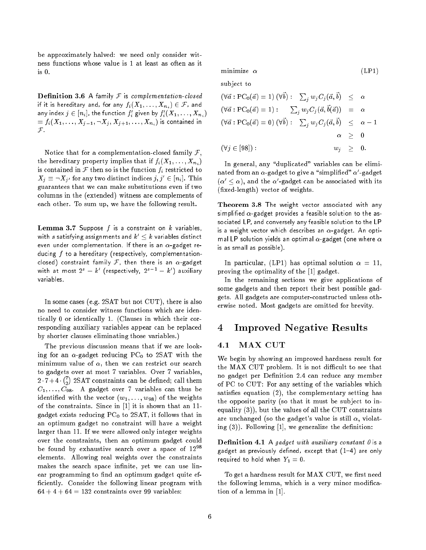be approximately halved: we need only consider witness functions whose value is 1 at least as often as it  $is<sub>0</sub>$ .

**Definition 3.6** A family  $F$  is complementation-closed if it is hereditary and, for any  $f_i(X_1,\ldots,X_{n_i})\in \mathcal{F}$ , and any index  $j \in [n_i]$ , the function  $f_i$  given by  $f_i(\bm{X}_1, \ldots, \bm{X}_{n_i})$  $= f_i(X_1,\ldots,X_{j-1}, \neg X_j, X_{j+1}, \ldots, X_{n_i})$  is contained in  $\mathcal{F}$ 

Notice that for a complementation-closed family  $\mathcal{F},$ the hereditary property implies that if  $f_i(X_1, \ldots, X_{n_i})$ is contained in  $\mathcal F$  then so is the function  $f_i$  restricted to  $\bm{\Lambda}_j \equiv \bm{\Box}\bm{\Lambda}_{j'}$  for any two distinct indices  $j, j\,\in\lceil n_i\rceil.$  This guarantees that we can make substitutions even if two columns in the (extended) witness are complements of each other. To sum up, we have the following result.

**Lemma 3.7** Suppose  $f$  is a constraint on  $k$  variables, with  $s$  satisfying assignments and  $k'\leq k$  variables distinct even under complementation. If there is an  $\alpha$ -gadget reducing  $f$  to a hereditary (respectively, complementationclosed) constraint family  $\mathcal F$ , then there is an  $\alpha$ -gadget with at most  $2^s - k$  (respectively,  $2^s - k$  ) auxiliary variables

In some cases (e.g. 2SAT but not CUT), there is also no need to consider witness functions which are identically 0 or identically 1. (Clauses in which their corresponding auxiliary variables appear can be replaced by shorter clauses eliminating those variables.)

The previous discussion means that if we are looking for an  $\alpha$ -gadget reducing PC<sub>0</sub> to 2SAT with the minimum value of  $\alpha$ , then we can restrict our search to gadgets over at most 7 variables. Over 7 variables, 2 7+ 4  $72$  $\mathcal{L}$ C1; : : : ; C98. A gadget over 7 variables can thus be identified with the vector  $(w_1, \ldots, w_{98})$  of the weights of the constraints. Since in [1] it is shown that an 11 gadget exists reducing  $PC_0$  to 2SAT, it follows that in an optimum gadget no constraint will have a weight larger than 11. If we were allowed only integer weights over the constraints, then an optimum gadget could be found by exhaustive search over a space of  $12^{98}$ elements. Allowing real weights over the constraints makes the search space infinite, yet we can use linear programming to find an optimum gadget quite efficiently. Consider the following linear program with  $64 + 4 + 64 = 132$  constraints over 99 variables:

minimize  $\alpha$  (LP1)

subject to

$$
(\forall \vec{a} : PC_0(\vec{a}) = 1) (\forall b) : \sum_j w_j C_j(\vec{a}, b) \leq \alpha
$$
  

$$
(\forall \vec{a} : PC_0(\vec{a}) = 1) : \sum_j w_j C_j(\vec{a}, \vec{b}(\vec{a})) = \alpha
$$
  

$$
(\forall \vec{a} : PC_0(\vec{a}) = 0) (\forall \vec{b}) : \sum_j w_j C_j(\vec{a}, \vec{b}) \leq \alpha - 1
$$
  

$$
\alpha \geq 0
$$
  

$$
(\forall j \in [98]) : \qquad w_j \geq 0.
$$

In general, any "duplicated" variables can be eliminated from an  $\alpha$ -gadget to give a "simplined"  $\alpha$  -gadget  $(\alpha\ < \alpha)$ , and the  $\alpha$  -gadget can be associated with its (xed-length) vector of weights.

Theorem 3.8 The weight vector associated with any simplified  $\alpha$ -gadget provides a feasible solution to the associated LP, and conversely any feasible solution to the LP is a weight vector which describes an  $\alpha$ -gadget. An optimal LP solution yields an optimal  $\alpha$ -gadget (one where  $\alpha$ is as small as possible).

In particular, (LP1) has optimal solution  $\alpha = 11$ , proving the optimality of the [1] gadget.

In the remaining sections we give applications of some gadgets and then report their best possible gadgets. All gadgets are computer-constructed unless otherwise noted. Most gadgets are omitted for brevity.

### 4 4 Improved Negative Results

### 4.1 MAX CUT

We begin by showing an improved hardness result for the MAX CUT problem. It is not difficult to see that no gadget per Definition 2.4 can reduce any member of PC to CUT: For any setting of the variables which satisfies equation  $(2)$ , the complementary setting has the opposite parity (so that it must be subject to inequality  $(3)$ , but the values of all the CUT constraints are unchanged (so the gadget's value is still  $\alpha$ , violating  $(3)$ ). Following [1], we generalize the definition:

Definition 4.1 A gadget with auxiliary constant  $\theta$  is a gadget as previously defined, except that  $(1-4)$  are only required to hold when  $Y_1 = 0$ .

To get a hardness result for MAX CUT, we first need the following lemma, which is a very minor modication of a lemma in [1].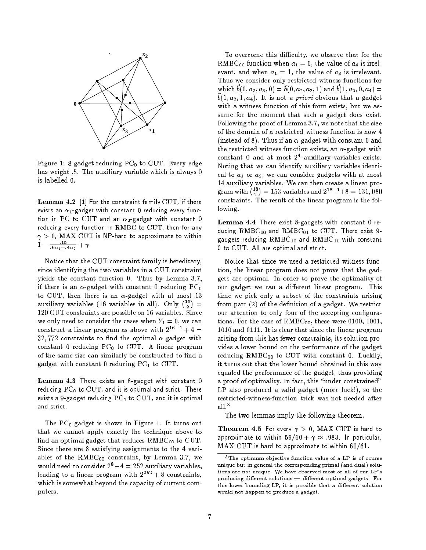

Figure 1: 8-gadget reducing  $PC_0$  to CUT. Every edge has weight .5. The auxiliary variable which is always 0 is labelled 0.

Lemma 4.2 [1] For the constraint family CUT, if there exists an  $\alpha_1$ -gadget with constant 0 reducing every function in PC to CUT and an  $\alpha_2$ -gadget with constant 0 reducing every function in RMBC to CUT, then for any  $\gamma > 0$ , MAX CUT is NP-hard to approximate to within  $1 - \frac{1}{6\alpha_1 + 4\alpha_2} + \gamma$ 

Notice that the CUT constraint family is hereditary, since identifying the two variables in a CUT constraint yields the constant function 0. Thus by Lemma 3.7, if there is an  $\alpha$ -gadget with constant 0 reducing PC<sub>0</sub> to CUT, then there is an  $\alpha$ -gadget with at most 13 auxiliary variables (16 variables in all). Only  $\binom{16}{5}$ 120 CUT constraints are possible on 16 variables. Since we only need to consider the cases when  $Y_1 = 0$ , we can construct a linear program as above with  $2^{16-1} + 4 =$ 32,772 constraints to find the optimal  $\alpha$ -gadget with constant  $0$  reducing  $PC_0$  to CUT. A linear program of the same size can similarly be constructed to find a gadget with constant  $0$  reducing  $PC<sub>1</sub>$  to CUT.

Lemma 4.3 There exists an 8-gadget with constant 0 reducing  $PC_0$  to  $CUT$ , and it is optimal and strict. There exists a 9-gadget reducing  $PC_1$  to  $CUT$ , and it is optimal and strict.

The  $PC_0$  gadget is shown in Figure 1. It turns out that we cannot apply exactly the technique above to find an optimal gadget that reduces  $RMBC_{00}$  to CUT. Since there are 8 satisfying assignments to the 4 variables of the  $RMBC_{00}$  constraint, by Lemma 3.7, we would need to consider  $2^8-4 = 252$  auxiliary variables, leading to a linear program with  $2^{252} + 8$  constraints, which is somewhat beyond the capacity of current computers.

To overcome this difficulty, we observe that for the RMBC<sub>00</sub> function when  $a_1 = 0$ , the value of  $a_4$  is irrelevant, and when  $a_1 = 1$ , the value of  $a_3$  is irrelevant. Thus we consider only restricted witness functions for which  $v(0, u_2, u_3, 0) = v(0, u_2, u_3, 1)$  and  $v(1, u_2, 0, u_4) =$  $v(1, u_2, 1, u_4)$ . It is not a *priori* obvious that a gauget with a witness function of this form exists, but we assume for the moment that such a gadget does exist. Following the proof of Lemma 3.7, we note that the size of the domain of a restricted witness function is now 4 (instead of 8). Thus if an  $\alpha$ -gadget with constant 0 and the restricted witness function exists, an  $\alpha$ -gadget with constant 0 and at most 2<sup>4</sup> auxiliary variables exists. Noting that we can identify auxiliary variables identical to  $a_1$  or  $a_2$ , we can consider gadgets with at most 14 auxiliary variables. We can then create a linear program with  $\binom{18}{2}$  $)= 153$  variables and  $2^{18-1}+8 = 131,080$ constraints. The result of the linear program is the following.

Lemma 4.4 There exist 8-gadgets with constant 0 reducing  $RMBC_{00}$  and  $RMBC_{01}$  to CUT. There exist 9gadgets reducing  $\text{RMBC}_{10}$  and  $\text{RMBC}_{11}$  with constant 0 to CUT. All are optimal and strict.

Notice that since we used a restricted witness function, the linear program does not prove that the gadgets are optimal. In order to prove the optimality of our gadget we ran a different linear program. This time we pick only a subset of the constraints arising from part  $(2)$  of the definition of a gadget. We restrict our attention to only four of the accepting configurations. For the case of  $RMBC_{00}$ , these were 0100, 1001, 1010 and 0111. It is clear that since the linear program arising from this has fewer constraints, its solution provides a lower bound on the performance of the gadget reducing  $RMBC_{00}$  to CUT with constant 0. Luckily, it turns out that the lower bound obtained in this way equaled the performance of the gadget, thus providing a proof of optimality. In fact, this "under-constrained" LP also produced a valid gadget (more luck!), so the restricted-witness-function trick was not needed after all.<sup>3</sup>

The two lemmas imply the following theorem.

Theorem 4.5 For every  $\gamma > 0$ , MAX CUT is hard to approximate to within  $59/60 + \gamma \approx .983$  In particular,  $MAX$  CUT is hard to approximate to within  $60/61$ .

<sup>&</sup>lt;sup>3</sup>The optimum objective function value of a LP is of course unique but in general the corresponding primal (and dual) solutions are not unique. We have observed most or all of our LP's producing different solutions - different optimal gadgets. For this lower-bounding LP, it is possible that a different solution would not happen to produce a gadget.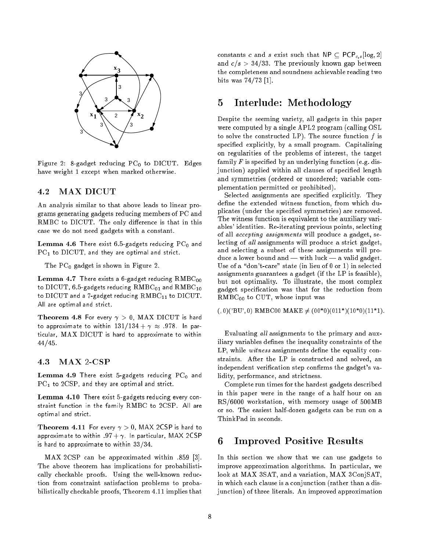

Figure 2: 8-gadget reducing  $PC_0$  to DICUT. Edges have weight 1 except when marked otherwise.

### 4.2 MAX DICUT

An analysis similar to that above leads to linear programs generating gadgets reducing members of PC and RMBC to DICUT. The only difference is that in this case we do not need gadgets with a constant.

**Lemma 4.6** There exist 6.5-gadgets reducing  $PC_0$  and  $PC<sub>1</sub>$  to  $DICUT$ , and they are optimal and strict.

The  $PC_0$  gadget is shown in Figure 2.

**Lemma 4.7** There exists a 6-gadget reducing  $\text{RMBC}_{00}$ to  $\text{DICUT}, 6.5$ -gadgets reducing  $\text{RMBC}_{01}$  and  $\text{RMBC}_{10}$ to  $DICUT$  and a 7-gadget reducing  $RMBC_{11}$  to  $DICUT$ . All are optimal and strict.

Theorem 4.8 For every  $\gamma > 0$ , MAX DICUT is hard to approximate to within  $131/134 + \gamma \approx .978$ . In particular, MAX DICUT is hard to approximate to within  $44/45$ .

### 4.3 MAX 2-CSP

**Lemma 4.9** There exist 5-gadgets reducing  $PC_0$  and  $PC<sub>1</sub>$  to  $2CSP$ , and they are optimal and strict.

Lemma 4.10 There exist 5-gadgets reducing every constraint function in the family RMBC to 2CSP. All are optimal and strict.

**Theorem 4.11** For every  $\gamma > 0$ , MAX 2CSP is hard to approximate to within .97 +  $\gamma$ . In particular, MAX 2CSP is hard to approximate to within  $33/34$ .

MAX 2CSP can be approximated within .859 [3]. The above theorem has implications for probabilistically checkable proofs. Using the well-known reduction from constraint satisfaction problems to probabilistically checkable proofs, Theorem 4.11 implies that constants c and s exist such that  $NP \subseteq PCP_{c,s}[log, 2]$ and  $c/s > 34/33$ . The previously known gap between the completeness and soundness achievable reading two bits was  $74/73$  [1].

### 5 5 Interlude: Methodology

Despite the seeming variety, all gadgets in this paper were computed by a single APL2 program (calling OSL to solve the constructed LP). The source function  $f$  is specified explicitly, by a small program. Capitalizing on regularities of the problems of interest, the target family  $F$  is specified by an underlying function (e.g. disjunction) applied within all clauses of specified length and symmetries (ordered or unordered; variable complementation permitted or prohibited).

Selected assignments are specified explicitly. They define the extended witness function, from which duplicates (under the specied symmetries) are removed. The witness function is equivalent to the auxiliary variables' identities. Re-iterating previous points, selecting of all accepting assignments will produce a gadget, selecting of all assignments will produce a strict gadget, and selecting a subset of these assignments will produce a lower bound and  $-$  with luck  $-$  a valid gadget. Use of a "don't-care" state (in lieu of  $0$  or 1) in selected assignments guarantees a gadget (if the LP is feasible), but not optimality. To illustrate, the most complex gadget specication was that for the reduction from  $RMBC_{00}$  to CUT, whose input was

 $(0,0)'BU',0)$  RMBC00 MAKE  $\neq (00^*0)(011^*)(10^*0)(11^*1)$ .

Evaluating all assignments to the primary and auxiliary variables defines the inequality constraints of the LP, while witness assignments define the equality constraints. After the LP is constructed and solved, an independent verification step confirms the gadget's validity, performance, and strictness.

Complete run times for the hardest gadgets described in this paper were in the range of a half hour on an RS/6000 workstation, with memory usage of 500MB or so. The easiest half-dozen gadgets can be run on a ThinkPad in seconds.

### 6 6 Improved Positive Results

In this section we show that we can use gadgets to improve approximation algorithms. In particular, we look at MAX 3SAT, and a variation, MAX 3ConjSAT, in which each clause is a conjunction (rather than a disjunction) of three literals. An improved approximation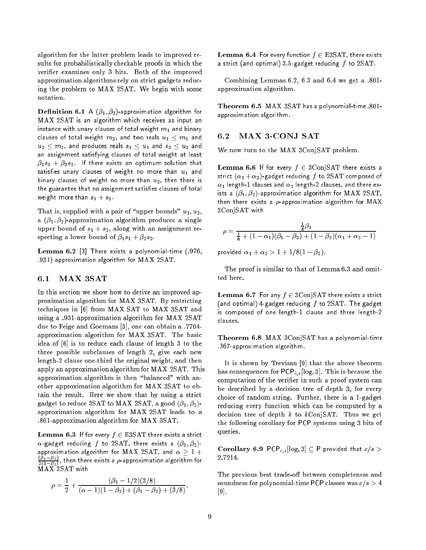algorithm for the latter problem leads to improved results for probabilistically checkable proofs in which the verifier examines only 3 bits. Both of the improved approximation algorithms rely on strict gadgets reducing the problem to MAX 2SAT. We begin with some notation.

**Definition 6.1** A  $(\beta_1, \beta_2)$ -approximation algorithm for MAX 2SAT is an algorithm which receives as input an instance with unary clauses of total weight  $m_1$  and binary clauses of total weight  $m_2$ , and two reals  $u_1 \leq m_1$  and  $u_2 \leq m_2$ , and produces reals  $s_1 \leq u_1$  and  $s_2 \leq u_2$  and an assignment satisfying clauses of total weight at least  $\beta_1s_1+\beta_2s_2$  If there exists an optimum solution that satisfies unary clauses of weight no more than  $u_1$  and binary clauses of weight no more than  $u_2$ , then there is the guarantee that no assignment satisfies clauses of total weight more than  $s_1 + s_2$ .

That is, supplied with a pair of "upper bounds"  $u_1, u_2$ , a  $(\beta_1, \beta_2)$ -approximation algorithm produces a single upper bound of  $s_1 + s_2$ , along with an assignment respecting a lower bound of  $\beta_1 s_1 + \beta_2 s_2$ .

**Lemma 6.2** [3] There exists a polynomial-time  $(.976, ...)$ :931) approximation algorithm for MAX 2SAT.

#### $6.1$ MAX 3SAT

In this section we show how to derive an improved approximation algorithm for MAX 3SAT. By restricting techniques in [6] from MAX SAT to MAX 3SAT and using a :931-approximation algorithm for MAX 2SAT due to Feige and Goemans [3], one can obtain a :7704 approximation algorithm for MAX 3SAT. The basic idea of [6] is to reduce each clause of length 3 to the three possible subclauses of length 2, give each new length-2 clause one-third the original weight, and then apply an approximation algorithm for MAX 2SAT. This approximation algorithm is then "balanced" with another approximation algorithm for MAX 3SAT to obtain the result. Here we show that by using a strict gadget to reduce 3SAT to MAX 2SAT, a good  $(\beta_1, \beta_2)$ approximation algorithm for MAX 2SAT leads to a :801-approximation algorithm for MAX 3SAT.

**Lemma 6.3** If for every  $f \in \text{ESSAT}$  there exists a strict  $\alpha$ -gadget reducing f to 2SAT, there exists a  $(\beta_1, \beta_2)$ approximation algorithm for MAX 2SAT, and  $\alpha \geq 1 +$  $\cdots$  $2(1-\beta_2)$ , then there exists a polynomial and algorithm for

$$
\rho = \frac{1}{2} + \frac{(\beta_1 - 1/2)(3/8)}{(\alpha - 1)(1 - \beta_2) + (\beta_1 - \beta_2) + (3/8)}.
$$

**Lemma 6.4** For every function  $f \in \text{ESSAT}$ , there exists a strict (and optimal) 3.5-gadget reducing  $f$  to 2SAT.

Combining Lemmas  $6.2, 6.3$  and  $6.4$  we get a  $.801$ approximation algorithm.

Theorem 6.5 MAX 3SAT has a polynomial-time .801approximation algorithm.

#### MAX 3-CONJ SAT 6.2

We now turn to the MAX 3ConjSAT problem.

**Lemma 6.6** If for every  $f \in 3$ ConjSAT there exists a strict  $(\alpha_1 + \alpha_2)$ -gadget reducing f to 2SAT composed of  $\alpha_1$  length-1 clauses and  $\alpha_2$  length-2 clauses, and there exists a  $(\beta_1, \beta_2)$ -approximation algorithm for MAX 2SAT, then there exists a  $\rho$ -approximation algorithm for MAX 3ConjSAT with

$$
\rho = \frac{\frac{1}{8}\beta_1}{\frac{1}{8} + (1 - \alpha_1)(\beta_1 - \beta_2) + (1 - \beta_2)(\alpha_1 + \alpha_2 - 1)}
$$

provided  $\alpha_1 + \alpha_2 > 1 + 1/8(1 - \beta_2)$ .

The proof is similar to that of Lemma 6.3 and omit-

**Lemma 6.7** For any  $f \in 3$ ConjSAT there exists a strict (and optimal) 4-gadget reducing  $f$  to 2SAT. The gadget is composed of one length-1 clause and three length-2 clauses.

Theorem 6.8 MAX 3ConjSAT has a polynomial-time .367-approximation algorithm.

It is shown by Trevisan [9] that the above theorem has consequences for  $PCP_{c,s}$ [log, 3]. This is because the computation of the verier in such a proof system can be described by a decision tree of depth 3, for every choice of random string. Further, there is a 1-gadget reducing every function which can be computed by a decision tree of depth  $k$  to  $kConjSAT$ . Thus we get the following corollary for PCP systems using 3 bits of queries.

Corollary 6.9 PCP<sub>c,s</sub>[log, 3]  $\subseteq$  P provided that  $c/s >$ 2:7214.

The previous best trade-off between completeness and soundness for polynomial-time PCP classes was  $c/s > 4$ [9].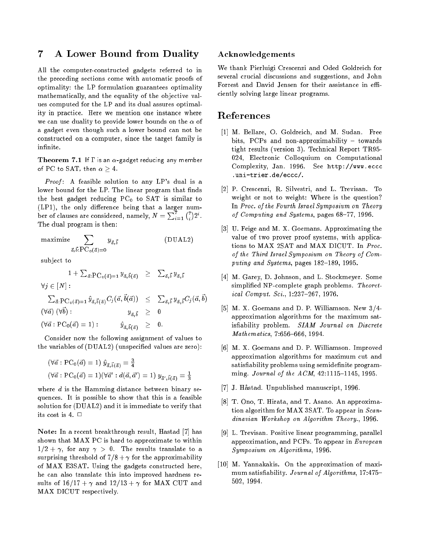#### $\overline{7}$ 7 A Lower Bound from Duality

All the computer-constructed gadgets referred to in the preceding sections come with automatic proofs of optimality: the LP formulation guarantees optimality mathematically, and the equality of the objective values computed for the LP and its dual assures optimality in practice. Here we mention one instance where we can use duality to provide lower bounds on the  $\alpha$  of a gadget even though such a lower bound can not be constructed on a computer, since the target family is infinite.

Theorem 7.1 If  $\Gamma$  is an  $\alpha$ -gadget reducing any member of PC to SAT, then  $\alpha \geq 4$ .

*Proof*: A feasible solution to any LP's dual is a lower bound for the LP. The linear program that finds the best gadget reducing  $PC_0$  to SAT is similar to  $(LP1)$ , the only difference being that a larger number of clauses are considered, namely,  $N = \sum_{i=1}^r {r \choose i} 2^i$ . The dual program is then:

$$
\begin{array}{ll}\n\text{maximize} & \sum_{\vec{a}, \vec{b}: \text{PC}_0(\vec{a}) = 0} y_{\vec{a}, \vec{b}} \quad \text{(DUAL2)}\\
\end{array}
$$

subject to

$$
1 + \sum_{\vec{a}: \text{PC}_0(\vec{a})=1} y_{\vec{a},\vec{b}(\vec{a})} \geq \sum_{\vec{a},\vec{b}} y_{\vec{a},\vec{b}}
$$
  
\n
$$
\forall j \in [N]:
$$
  
\n
$$
\sum_{\vec{a}: \text{PC}_0(\vec{a})=1} \hat{y}_{\vec{a},\vec{b}(\vec{a})} C_j(\vec{a}, \vec{b}(\vec{a})) \leq \sum_{\vec{a},\vec{b}} y_{\vec{a},\vec{b}} C_j(\vec{a}, \vec{b})
$$

 $(yu)$ ,  $y$  $y_{\vec{a},\vec{b}} \geq 0$  $(\forall \vec{a} : PC_0(\vec{a}) = 1)$ :  $\hat{y}_{\vec{a},\vec{b}(\vec{a})} \geq 0.$ 

Consider now the following assignment of values to the variables of (DUAL2) (unspecified values are zero):

$$
(\forall \vec{a} : PC_0(\vec{a}) = 1) \hat{y}_{\vec{a}, \vec{b}(\vec{a})} = \frac{3}{4}
$$
  

$$
(\forall \vec{a} : PC_0(\vec{a}) = 1)(\forall \vec{a}' : d(\vec{a}, \vec{a}') = 1) y_{\vec{a}', \vec{b}(\vec{a})} = \frac{1}{3}
$$

where  $d$  is the Hamming distance between binary sequences. It is possible to show that this is a feasible solution for (DUAL2) and it is immediate to verify that its cost is 4.  $\Box$ 

Note: In a recent breakthrough result, Hastad [7] has shown that MAX PC is hard to approximate to within  $1/2 + \gamma$ , for any  $\gamma > 0$ . The results translate to a surprising threshold of  $7/8 + \gamma$  for the approximability of MAX E3SAT. Using the gadgets constructed here, he can also translate this into improved hardness results of  $16/17 + \gamma$  and  $12/13 + \gamma$  for MAX CUT and MAX DICUT respectively.

### Acknowledgements

We thank Pierluigi Crescenzi and Oded Goldreich for several crucial discussions and suggestions, and John Forrest and David Jensen for their assistance in efficiently solving large linear programs.

### References

- [1] M. Bellare, O. Goldreich, and M. Sudan. Free bits, PCPs and non-approximability  $-$  towards tight results (version 3). Technical Report TR95- 024, Electronic Colloquium on Computational Complexity, Jan. 1996. See http://www.eccc .uni-trier.de/eccc/.
- [2] P. Crescenzi, R. Silvestri, and L. Trevisan. To weight or not to weight: Where is the question? In Proc. of the Fourth Israel Symposium on Theory of Computing and Systems, pages 68-77, 1996.
- [3] U. Feige and M. X. Goemans. Approximating the value of two prover proof systems, with applications to MAX 2SAT and MAX DICUT. In Proc. of the Third Israel Symposium on Theory of Computing and Systems, pages 182-189, 1995.
- [4] M. Garey, D. Johnson, and L. Stockmeyer. Some simplified NP-complete graph problems. Theoretical Comput. Sci., 1:237-267, 1976.
- [5] M. X. Goemans and D. P. Williamson. New 3/4 approximation algorithms for the maximum satisfiability problem. SIAM Journal on Discrete  $Mathematics, 7:656-666, 1994.$
- [6] M. X. Goemans and D. P. Williamson. Improved approximation algorithms for maximum cut and satisfiability problems using semidefinite programming. Journal of the  $ACM$ , 42:1115-1145, 1995.
- [7] J. Hastad. Unpublished manuscript, 1996.
- [8] T. Ono, T. Hirata, and T. Asano. An approximation algorithm for MAX 3SAT. To appear in  $Scan$ dinavian Workshop on Algorithm Theory., 1996.
- [9] L. Trevisan. Positive linear programming, parallel approximation, and PCPs. To appear in European Symposium on Algorithms, 1996.
- [10] M. Yannakakis. On the approximation of maximum satisfiability. Journal of Algorithms, 17:475-502, 1994.